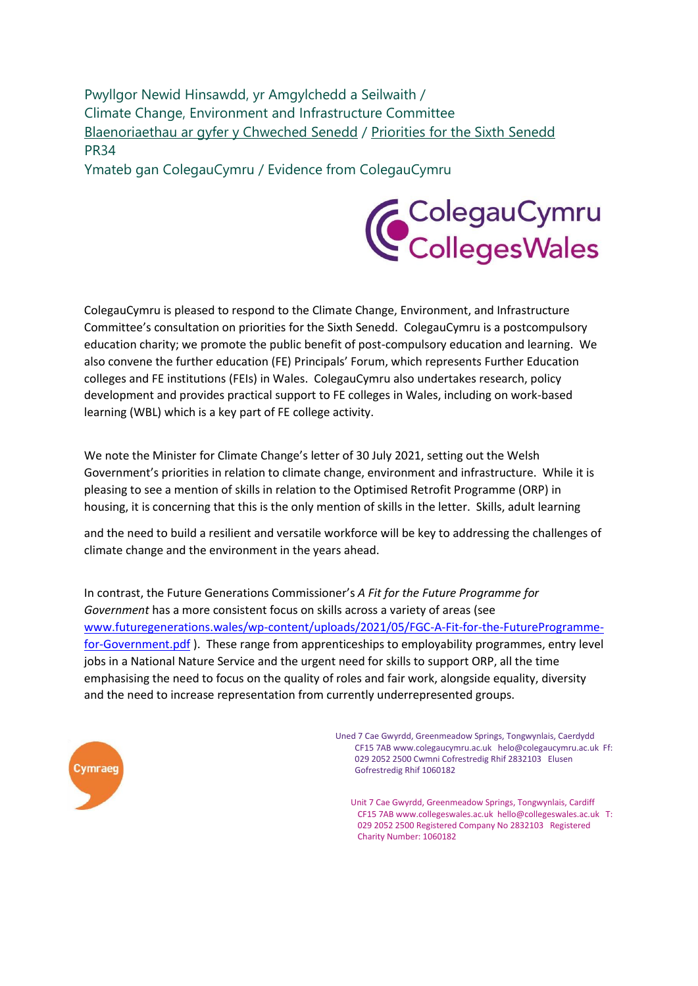Pwyllgor Newid Hinsawdd, yr Amgylchedd a Seilwaith / Climate Change, Environment and Infrastructure Committee [Blaenoriaethau ar gyfer y Chweched Senedd](https://busnes.senedd.cymru/mgConsultationDisplay.aspx?id=427&RPID=1026452002&cp=yes) / [Priorities for the Sixth Senedd](https://business.senedd.wales/mgConsultationDisplay.aspx?id=427&RPID=1026452002&cp=yes) PR34

Ymateb gan ColegauCymru / Evidence from ColegauCymru



ColegauCymru is pleased to respond to the Climate Change, Environment, and Infrastructure Committee's consultation on priorities for the Sixth Senedd. ColegauCymru is a postcompulsory education charity; we promote the public benefit of post-compulsory education and learning. We also convene the further education (FE) Principals' Forum, which represents Further Education colleges and FE institutions (FEIs) in Wales. ColegauCymru also undertakes research, policy development and provides practical support to FE colleges in Wales, including on work-based learning (WBL) which is a key part of FE college activity.

We note the Minister for Climate Change's letter of 30 July 2021, setting out the Welsh Government's priorities in relation to climate change, environment and infrastructure. While it is pleasing to see a mention of skills in relation to the Optimised Retrofit Programme (ORP) in housing, it is concerning that this is the only mention of skills in the letter. Skills, adult learning

and the need to build a resilient and versatile workforce will be key to addressing the challenges of climate change and the environment in the years ahead.

In contrast, the Future Generations Commissioner's *A Fit for the Future Programme for Government* has a more consistent focus on skills across a variety of areas (see [www.futuregenerations.wales/wp-content/uploads/2021/05/FGC-A-Fit-for-the-FutureProgramme](http://www.futuregenerations.wales/wp-content/uploads/2021/05/FGC-A-Fit-for-the-Future-Programme-for-Government.pdf)[for-Government.pdf](http://www.futuregenerations.wales/wp-content/uploads/2021/05/FGC-A-Fit-for-the-Future-Programme-for-Government.pdf)). These range from apprenticeships to employability programmes, entry level jobs in a National Nature Service and the urgent need for skills to support ORP, all the time emphasising the need to focus on the quality of roles and fair work, alongside equality, diversity and the need to increase representation from currently underrepresented groups.



Uned 7 Cae Gwyrdd, Greenmeadow Springs, Tongwynlais, Caerdydd CF15 7A[B www.colegaucymru.ac.uk h](http://www.colegaucymru.ac.uk/)elo@colegaucymru.ac.uk Ff: 029 2052 2500 Cwmni Cofrestredig Rhif 2832103 Elusen Gofrestredig Rhif 1060182

Unit 7 Cae Gwyrdd, Greenmeadow Springs, Tongwynlais, Cardiff CF15 7A[B www.collegeswales.ac.uk h](http://www.collegeswales.ac.uk/)ello@collegeswales.ac.uk T: 029 2052 2500 Registered Company No 2832103 Registered Charity Number: 1060182